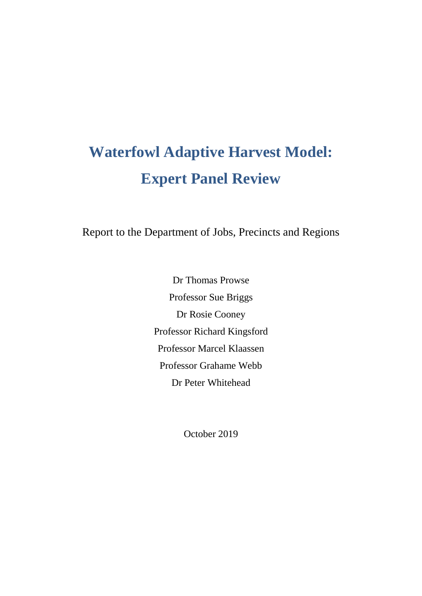# **Waterfowl Adaptive Harvest Model: Expert Panel Review**

Report to the Department of Jobs, Precincts and Regions

Dr Thomas Prowse Professor Sue Briggs Dr Rosie Cooney Professor Richard Kingsford Professor Marcel Klaassen Professor Grahame Webb Dr Peter Whitehead

October 2019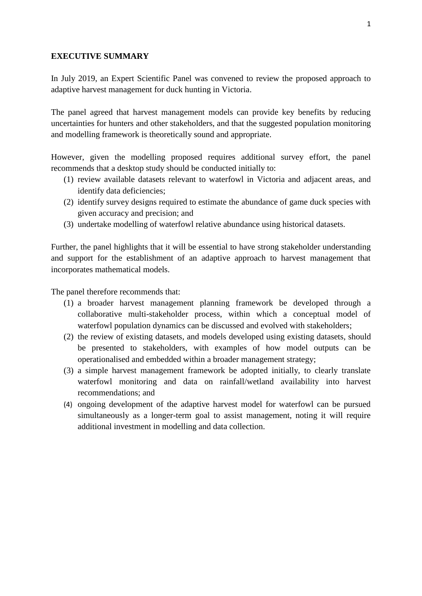#### **EXECUTIVE SUMMARY**

In July 2019, an Expert Scientific Panel was convened to review the proposed approach to adaptive harvest management for duck hunting in Victoria.

The panel agreed that harvest management models can provide key benefits by reducing uncertainties for hunters and other stakeholders, and that the suggested population monitoring and modelling framework is theoretically sound and appropriate.

However, given the modelling proposed requires additional survey effort, the panel recommends that a desktop study should be conducted initially to:

- (1) review available datasets relevant to waterfowl in Victoria and adjacent areas, and identify data deficiencies;
- (2) identify survey designs required to estimate the abundance of game duck species with given accuracy and precision; and
- (3) undertake modelling of waterfowl relative abundance using historical datasets.

Further, the panel highlights that it will be essential to have strong stakeholder understanding and support for the establishment of an adaptive approach to harvest management that incorporates mathematical models.

The panel therefore recommends that:

- (1) a broader harvest management planning framework be developed through a collaborative multi-stakeholder process, within which a conceptual model of waterfowl population dynamics can be discussed and evolved with stakeholders;
- (2) the review of existing datasets, and models developed using existing datasets, should be presented to stakeholders, with examples of how model outputs can be operationalised and embedded within a broader management strategy;
- (3) a simple harvest management framework be adopted initially, to clearly translate waterfowl monitoring and data on rainfall/wetland availability into harvest recommendations; and
- (4) ongoing development of the adaptive harvest model for waterfowl can be pursued simultaneously as a longer-term goal to assist management, noting it will require additional investment in modelling and data collection.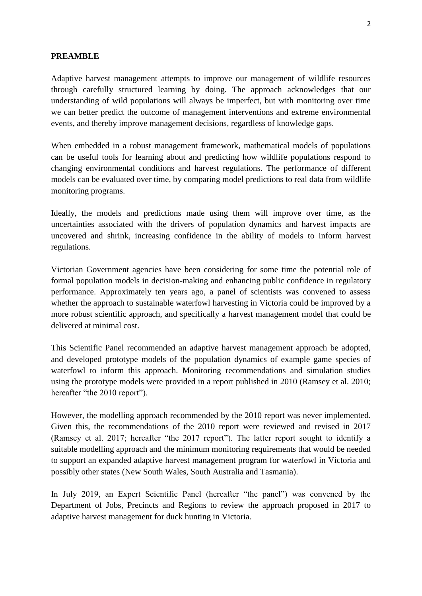#### **PREAMBLE**

Adaptive harvest management attempts to improve our management of wildlife resources through carefully structured learning by doing. The approach acknowledges that our understanding of wild populations will always be imperfect, but with monitoring over time we can better predict the outcome of management interventions and extreme environmental events, and thereby improve management decisions, regardless of knowledge gaps.

When embedded in a robust management framework, mathematical models of populations can be useful tools for learning about and predicting how wildlife populations respond to changing environmental conditions and harvest regulations. The performance of different models can be evaluated over time, by comparing model predictions to real data from wildlife monitoring programs.

Ideally, the models and predictions made using them will improve over time, as the uncertainties associated with the drivers of population dynamics and harvest impacts are uncovered and shrink, increasing confidence in the ability of models to inform harvest regulations.

Victorian Government agencies have been considering for some time the potential role of formal population models in decision-making and enhancing public confidence in regulatory performance. Approximately ten years ago, a panel of scientists was convened to assess whether the approach to sustainable waterfowl harvesting in Victoria could be improved by a more robust scientific approach, and specifically a harvest management model that could be delivered at minimal cost.

This Scientific Panel recommended an adaptive harvest management approach be adopted, and developed prototype models of the population dynamics of example game species of waterfowl to inform this approach. Monitoring recommendations and simulation studies using the prototype models were provided in a report published in 2010 (Ramsey et al. 2010; hereafter "the 2010 report").

However, the modelling approach recommended by the 2010 report was never implemented. Given this, the recommendations of the 2010 report were reviewed and revised in 2017 (Ramsey et al. 2017; hereafter "the 2017 report"). The latter report sought to identify a suitable modelling approach and the minimum monitoring requirements that would be needed to support an expanded adaptive harvest management program for waterfowl in Victoria and possibly other states (New South Wales, South Australia and Tasmania).

In July 2019, an Expert Scientific Panel (hereafter "the panel") was convened by the Department of Jobs, Precincts and Regions to review the approach proposed in 2017 to adaptive harvest management for duck hunting in Victoria.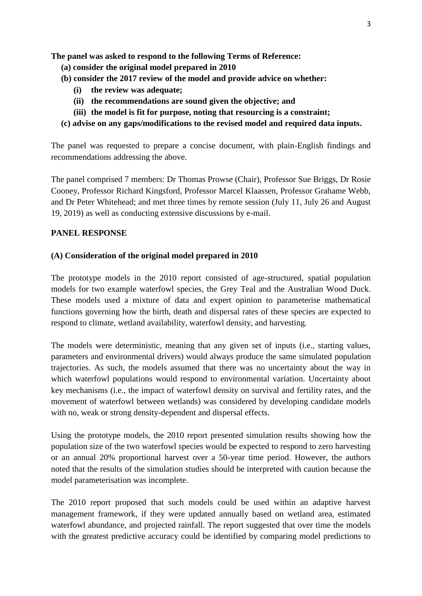**The panel was asked to respond to the following Terms of Reference:**

- **(a) consider the original model prepared in 2010**
- **(b) consider the 2017 review of the model and provide advice on whether:**
	- **(i) the review was adequate;**
	- **(ii) the recommendations are sound given the objective; and**
	- **(iii) the model is fit for purpose, noting that resourcing is a constraint;**
- **(c) advise on any gaps/modifications to the revised model and required data inputs.**

The panel was requested to prepare a concise document, with plain-English findings and recommendations addressing the above.

The panel comprised 7 members: Dr Thomas Prowse (Chair), Professor Sue Briggs, Dr Rosie Cooney, Professor Richard Kingsford, Professor Marcel Klaassen, Professor Grahame Webb, and Dr Peter Whitehead; and met three times by remote session (July 11, July 26 and August 19, 2019) as well as conducting extensive discussions by e-mail.

### **PANEL RESPONSE**

#### **(A) Consideration of the original model prepared in 2010**

The prototype models in the 2010 report consisted of age-structured, spatial population models for two example waterfowl species, the Grey Teal and the Australian Wood Duck. These models used a mixture of data and expert opinion to parameterise mathematical functions governing how the birth, death and dispersal rates of these species are expected to respond to climate, wetland availability, waterfowl density, and harvesting.

The models were deterministic, meaning that any given set of inputs (i.e., starting values, parameters and environmental drivers) would always produce the same simulated population trajectories. As such, the models assumed that there was no uncertainty about the way in which waterfowl populations would respond to environmental variation. Uncertainty about key mechanisms (i.e., the impact of waterfowl density on survival and fertility rates, and the movement of waterfowl between wetlands) was considered by developing candidate models with no, weak or strong density-dependent and dispersal effects.

Using the prototype models, the 2010 report presented simulation results showing how the population size of the two waterfowl species would be expected to respond to zero harvesting or an annual 20% proportional harvest over a 50-year time period. However, the authors noted that the results of the simulation studies should be interpreted with caution because the model parameterisation was incomplete.

The 2010 report proposed that such models could be used within an adaptive harvest management framework, if they were updated annually based on wetland area, estimated waterfowl abundance, and projected rainfall. The report suggested that over time the models with the greatest predictive accuracy could be identified by comparing model predictions to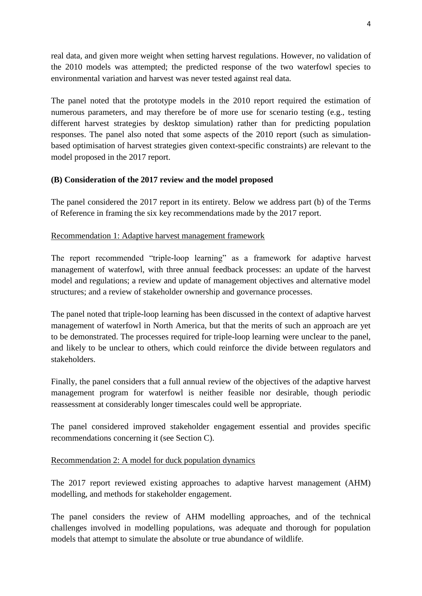real data, and given more weight when setting harvest regulations. However, no validation of the 2010 models was attempted; the predicted response of the two waterfowl species to environmental variation and harvest was never tested against real data.

The panel noted that the prototype models in the 2010 report required the estimation of numerous parameters, and may therefore be of more use for scenario testing (e.g., testing different harvest strategies by desktop simulation) rather than for predicting population responses. The panel also noted that some aspects of the 2010 report (such as simulationbased optimisation of harvest strategies given context-specific constraints) are relevant to the model proposed in the 2017 report.

### **(B) Consideration of the 2017 review and the model proposed**

The panel considered the 2017 report in its entirety. Below we address part (b) of the Terms of Reference in framing the six key recommendations made by the 2017 report.

#### Recommendation 1: Adaptive harvest management framework

The report recommended "triple-loop learning" as a framework for adaptive harvest management of waterfowl, with three annual feedback processes: an update of the harvest model and regulations; a review and update of management objectives and alternative model structures; and a review of stakeholder ownership and governance processes.

The panel noted that triple-loop learning has been discussed in the context of adaptive harvest management of waterfowl in North America, but that the merits of such an approach are yet to be demonstrated. The processes required for triple-loop learning were unclear to the panel, and likely to be unclear to others, which could reinforce the divide between regulators and stakeholders.

Finally, the panel considers that a full annual review of the objectives of the adaptive harvest management program for waterfowl is neither feasible nor desirable, though periodic reassessment at considerably longer timescales could well be appropriate.

The panel considered improved stakeholder engagement essential and provides specific recommendations concerning it (see Section C).

### Recommendation 2: A model for duck population dynamics

The 2017 report reviewed existing approaches to adaptive harvest management (AHM) modelling, and methods for stakeholder engagement.

The panel considers the review of AHM modelling approaches, and of the technical challenges involved in modelling populations, was adequate and thorough for population models that attempt to simulate the absolute or true abundance of wildlife.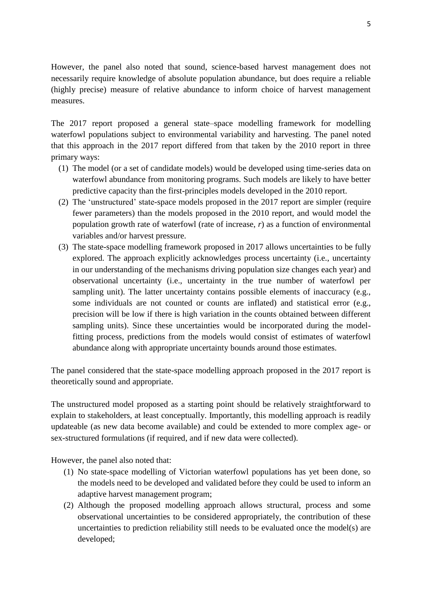However, the panel also noted that sound, science-based harvest management does not necessarily require knowledge of absolute population abundance, but does require a reliable (highly precise) measure of relative abundance to inform choice of harvest management measures.

The 2017 report proposed a general state–space modelling framework for modelling waterfowl populations subject to environmental variability and harvesting. The panel noted that this approach in the 2017 report differed from that taken by the 2010 report in three primary ways:

- (1) The model (or a set of candidate models) would be developed using time-series data on waterfowl abundance from monitoring programs. Such models are likely to have better predictive capacity than the first-principles models developed in the 2010 report.
- (2) The 'unstructured' state-space models proposed in the 2017 report are simpler (require fewer parameters) than the models proposed in the 2010 report, and would model the population growth rate of waterfowl (rate of increase, *r*) as a function of environmental variables and/or harvest pressure.
- (3) The state-space modelling framework proposed in 2017 allows uncertainties to be fully explored. The approach explicitly acknowledges process uncertainty (i.e., uncertainty in our understanding of the mechanisms driving population size changes each year) and observational uncertainty (i.e., uncertainty in the true number of waterfowl per sampling unit). The latter uncertainty contains possible elements of inaccuracy (e.g., some individuals are not counted or counts are inflated) and statistical error (e.g., precision will be low if there is high variation in the counts obtained between different sampling units). Since these uncertainties would be incorporated during the modelfitting process, predictions from the models would consist of estimates of waterfowl abundance along with appropriate uncertainty bounds around those estimates.

The panel considered that the state-space modelling approach proposed in the 2017 report is theoretically sound and appropriate.

The unstructured model proposed as a starting point should be relatively straightforward to explain to stakeholders, at least conceptually. Importantly, this modelling approach is readily updateable (as new data become available) and could be extended to more complex age- or sex-structured formulations (if required, and if new data were collected).

However, the panel also noted that:

- (1) No state-space modelling of Victorian waterfowl populations has yet been done, so the models need to be developed and validated before they could be used to inform an adaptive harvest management program;
- (2) Although the proposed modelling approach allows structural, process and some observational uncertainties to be considered appropriately, the contribution of these uncertainties to prediction reliability still needs to be evaluated once the model(s) are developed;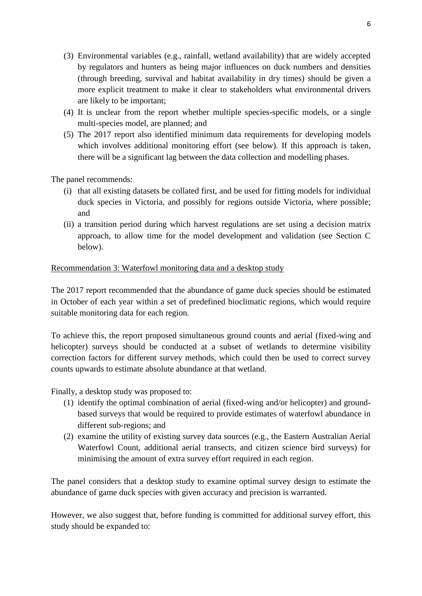- (3) Environmental variables (e.g., rainfall, wetland availability) that are widely accepted by regulators and hunters as being major influences on duck numbers and densities (through breeding, survival and habitat availability in dry times) should be given a more explicit treatment to make it clear to stakeholders what environmental drivers are likely to be important;
- (4) It is unclear from the report whether multiple species-specific models, or a single multi-species model, are planned; and
- (5) The 2017 report also identified minimum data requirements for developing models which involves additional monitoring effort (see below). If this approach is taken, there will be a significant lag between the data collection and modelling phases.

The panel recommends:

- (i) that all existing datasets be collated first, and be used for fitting models for individual duck species in Victoria, and possibly for regions outside Victoria, where possible; and
- (ii) a transition period during which harvest regulations are set using a decision matrix approach, to allow time for the model development and validation (see Section C below).

#### Recommendation 3: Waterfowl monitoring data and a desktop study

The 2017 report recommended that the abundance of game duck species should be estimated in October of each year within a set of predefined bioclimatic regions, which would require suitable monitoring data for each region.

To achieve this, the report proposed simultaneous ground counts and aerial (fixed-wing and helicopter) surveys should be conducted at a subset of wetlands to determine visibility correction factors for different survey methods, which could then be used to correct survey counts upwards to estimate absolute abundance at that wetland.

Finally, a desktop study was proposed to:

- (1) identify the optimal combination of aerial (fixed-wing and/or helicopter) and groundbased surveys that would be required to provide estimates of waterfowl abundance in different sub-regions; and
- (2) examine the utility of existing survey data sources (e.g., the Eastern Australian Aerial Waterfowl Count, additional aerial transects, and citizen science bird surveys) for minimising the amount of extra survey effort required in each region.

The panel considers that a desktop study to examine optimal survey design to estimate the abundance of game duck species with given accuracy and precision is warranted.

However, we also suggest that, before funding is committed for additional survey effort, this study should be expanded to: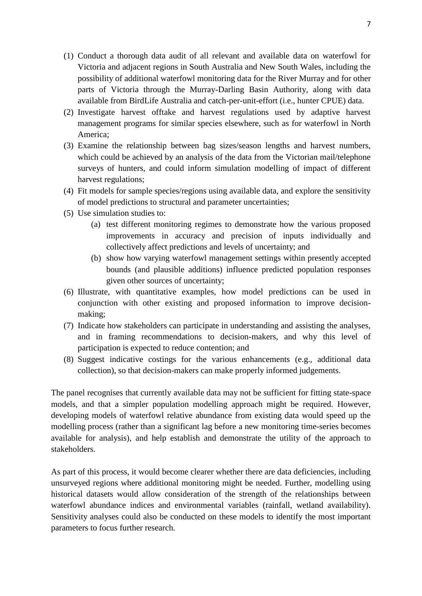- (1) Conduct a thorough data audit of all relevant and available data on waterfowl for Victoria and adjacent regions in South Australia and New South Wales, including the possibility of additional waterfowl monitoring data for the River Murray and for other parts of Victoria through the Murray-Darling Basin Authority, along with data available from BirdLife Australia and catch-per-unit-effort (i.e., hunter CPUE) data.
- (2) Investigate harvest offtake and harvest regulations used by adaptive harvest management programs for similar species elsewhere, such as for waterfowl in North America;
- (3) Examine the relationship between bag sizes/season lengths and harvest numbers, which could be achieved by an analysis of the data from the Victorian mail/telephone surveys of hunters, and could inform simulation modelling of impact of different harvest regulations;
- (4) Fit models for sample species/regions using available data, and explore the sensitivity of model predictions to structural and parameter uncertainties;
- (5) Use simulation studies to:
	- (a) test different monitoring regimes to demonstrate how the various proposed improvements in accuracy and precision of inputs individually and collectively affect predictions and levels of uncertainty; and
	- (b) show how varying waterfowl management settings within presently accepted bounds (and plausible additions) influence predicted population responses given other sources of uncertainty;
- (6) Illustrate, with quantitative examples, how model predictions can be used in conjunction with other existing and proposed information to improve decisionmaking;
- (7) Indicate how stakeholders can participate in understanding and assisting the analyses, and in framing recommendations to decision-makers, and why this level of participation is expected to reduce contention; and
- (8) Suggest indicative costings for the various enhancements (e.g., additional data collection), so that decision-makers can make properly informed judgements.

The panel recognises that currently available data may not be sufficient for fitting state-space models, and that a simpler population modelling approach might be required. However, developing models of waterfowl relative abundance from existing data would speed up the modelling process (rather than a significant lag before a new monitoring time-series becomes available for analysis), and help establish and demonstrate the utility of the approach to stakeholders.

As part of this process, it would become clearer whether there are data deficiencies, including unsurveyed regions where additional monitoring might be needed. Further, modelling using historical datasets would allow consideration of the strength of the relationships between waterfowl abundance indices and environmental variables (rainfall, wetland availability). Sensitivity analyses could also be conducted on these models to identify the most important parameters to focus further research.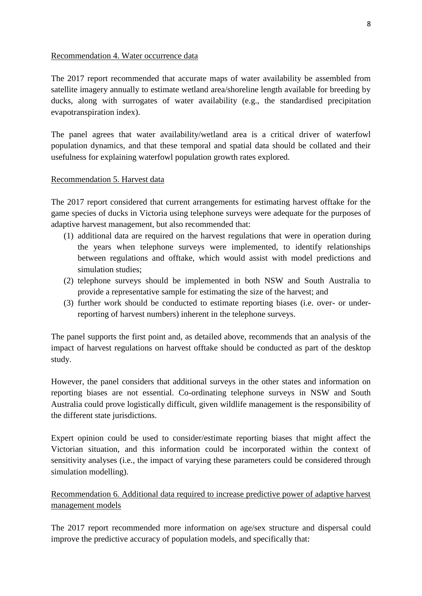#### Recommendation 4. Water occurrence data

The 2017 report recommended that accurate maps of water availability be assembled from satellite imagery annually to estimate wetland area/shoreline length available for breeding by ducks, along with surrogates of water availability (e.g., the standardised precipitation evapotranspiration index).

The panel agrees that water availability/wetland area is a critical driver of waterfowl population dynamics, and that these temporal and spatial data should be collated and their usefulness for explaining waterfowl population growth rates explored.

### Recommendation 5. Harvest data

The 2017 report considered that current arrangements for estimating harvest offtake for the game species of ducks in Victoria using telephone surveys were adequate for the purposes of adaptive harvest management, but also recommended that:

- (1) additional data are required on the harvest regulations that were in operation during the years when telephone surveys were implemented, to identify relationships between regulations and offtake, which would assist with model predictions and simulation studies;
- (2) telephone surveys should be implemented in both NSW and South Australia to provide a representative sample for estimating the size of the harvest; and
- (3) further work should be conducted to estimate reporting biases (i.e. over- or underreporting of harvest numbers) inherent in the telephone surveys.

The panel supports the first point and, as detailed above, recommends that an analysis of the impact of harvest regulations on harvest offtake should be conducted as part of the desktop study.

However, the panel considers that additional surveys in the other states and information on reporting biases are not essential. Co-ordinating telephone surveys in NSW and South Australia could prove logistically difficult, given wildlife management is the responsibility of the different state jurisdictions.

Expert opinion could be used to consider/estimate reporting biases that might affect the Victorian situation, and this information could be incorporated within the context of sensitivity analyses (i.e., the impact of varying these parameters could be considered through simulation modelling).

Recommendation 6. Additional data required to increase predictive power of adaptive harvest management models

The 2017 report recommended more information on age/sex structure and dispersal could improve the predictive accuracy of population models, and specifically that: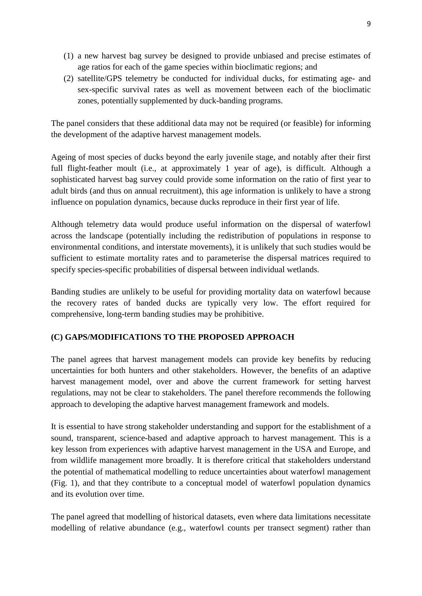- (1) a new harvest bag survey be designed to provide unbiased and precise estimates of age ratios for each of the game species within bioclimatic regions; and
- (2) satellite/GPS telemetry be conducted for individual ducks, for estimating age- and sex-specific survival rates as well as movement between each of the bioclimatic zones, potentially supplemented by duck-banding programs.

The panel considers that these additional data may not be required (or feasible) for informing the development of the adaptive harvest management models.

Ageing of most species of ducks beyond the early juvenile stage, and notably after their first full flight-feather moult (i.e., at approximately 1 year of age), is difficult. Although a sophisticated harvest bag survey could provide some information on the ratio of first year to adult birds (and thus on annual recruitment), this age information is unlikely to have a strong influence on population dynamics, because ducks reproduce in their first year of life.

Although telemetry data would produce useful information on the dispersal of waterfowl across the landscape (potentially including the redistribution of populations in response to environmental conditions, and interstate movements), it is unlikely that such studies would be sufficient to estimate mortality rates and to parameterise the dispersal matrices required to specify species-specific probabilities of dispersal between individual wetlands.

Banding studies are unlikely to be useful for providing mortality data on waterfowl because the recovery rates of banded ducks are typically very low. The effort required for comprehensive, long-term banding studies may be prohibitive.

## **(C) GAPS/MODIFICATIONS TO THE PROPOSED APPROACH**

The panel agrees that harvest management models can provide key benefits by reducing uncertainties for both hunters and other stakeholders. However, the benefits of an adaptive harvest management model, over and above the current framework for setting harvest regulations, may not be clear to stakeholders. The panel therefore recommends the following approach to developing the adaptive harvest management framework and models.

It is essential to have strong stakeholder understanding and support for the establishment of a sound, transparent, science-based and adaptive approach to harvest management. This is a key lesson from experiences with adaptive harvest management in the USA and Europe, and from wildlife management more broadly. It is therefore critical that stakeholders understand the potential of mathematical modelling to reduce uncertainties about waterfowl management (Fig. 1), and that they contribute to a conceptual model of waterfowl population dynamics and its evolution over time.

The panel agreed that modelling of historical datasets, even where data limitations necessitate modelling of relative abundance (e.g., waterfowl counts per transect segment) rather than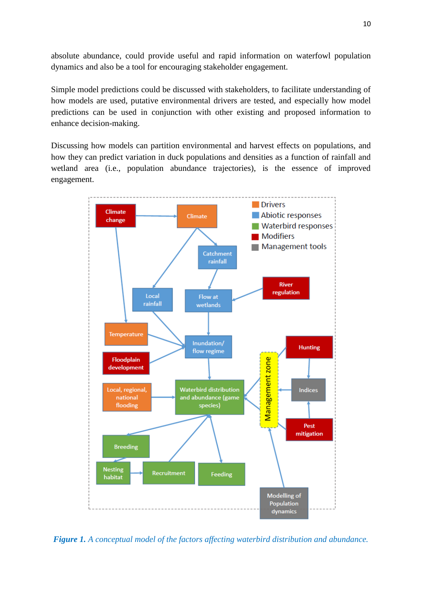absolute abundance, could provide useful and rapid information on waterfowl population dynamics and also be a tool for encouraging stakeholder engagement.

Simple model predictions could be discussed with stakeholders, to facilitate understanding of how models are used, putative environmental drivers are tested, and especially how model predictions can be used in conjunction with other existing and proposed information to enhance decision-making.

Discussing how models can partition environmental and harvest effects on populations, and how they can predict variation in duck populations and densities as a function of rainfall and wetland area (i.e., population abundance trajectories), is the essence of improved engagement.



*Figure 1. A conceptual model of the factors affecting waterbird distribution and abundance.*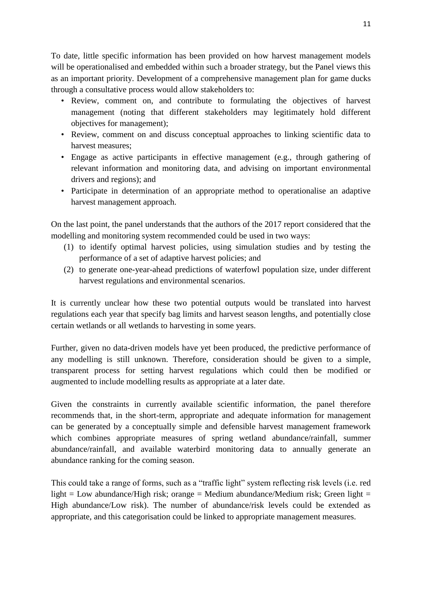To date, little specific information has been provided on how harvest management models will be operationalised and embedded within such a broader strategy, but the Panel views this as an important priority. Development of a comprehensive management plan for game ducks through a consultative process would allow stakeholders to:

- Review, comment on, and contribute to formulating the objectives of harvest management (noting that different stakeholders may legitimately hold different objectives for management);
- Review, comment on and discuss conceptual approaches to linking scientific data to harvest measures;
- Engage as active participants in effective management (e.g., through gathering of relevant information and monitoring data, and advising on important environmental drivers and regions); and
- Participate in determination of an appropriate method to operationalise an adaptive harvest management approach.

On the last point, the panel understands that the authors of the 2017 report considered that the modelling and monitoring system recommended could be used in two ways:

- (1) to identify optimal harvest policies, using simulation studies and by testing the performance of a set of adaptive harvest policies; and
- (2) to generate one-year-ahead predictions of waterfowl population size, under different harvest regulations and environmental scenarios.

It is currently unclear how these two potential outputs would be translated into harvest regulations each year that specify bag limits and harvest season lengths, and potentially close certain wetlands or all wetlands to harvesting in some years.

Further, given no data-driven models have yet been produced, the predictive performance of any modelling is still unknown. Therefore, consideration should be given to a simple, transparent process for setting harvest regulations which could then be modified or augmented to include modelling results as appropriate at a later date.

Given the constraints in currently available scientific information, the panel therefore recommends that, in the short-term, appropriate and adequate information for management can be generated by a conceptually simple and defensible harvest management framework which combines appropriate measures of spring wetland abundance/rainfall, summer abundance/rainfall, and available waterbird monitoring data to annually generate an abundance ranking for the coming season.

This could take a range of forms, such as a "traffic light" system reflecting risk levels (i.e. red light = Low abundance/High risk; orange = Medium abundance/Medium risk; Green light = High abundance/Low risk). The number of abundance/risk levels could be extended as appropriate, and this categorisation could be linked to appropriate management measures.